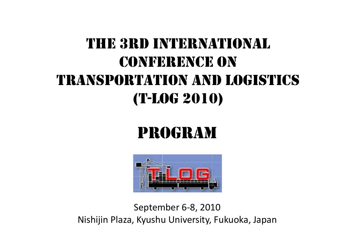# THE 3RD INTERNATIONALCONFERENCE ON TRANSPORTATION AND LOGISTICS(T-LOG 2010)

# PROGRAM



Se ptember 6 ‐ 8, 2010 Nishijin Plaza, Kyushu University, Fukuoka, Japan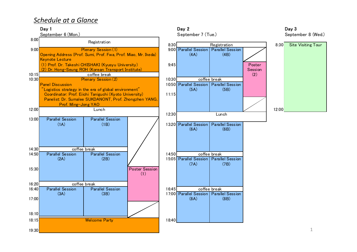# *Schedule at a Glance*





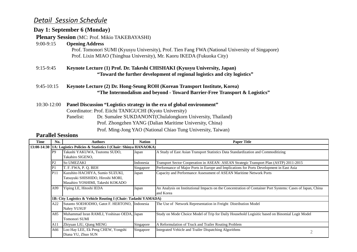## *Detail Session Schedule*

#### **Day 1: September 6 (Monday)**

#### **Plenary Session** (MC: Prof. Mikio TAKEBAYASHI)

#### 9:00-9:15 **Opening Address**

Prof. Tomonori SUMI (Kyusyu University), Prof. Tien Fang FWA (National University of Singapore) Prof. Lixin MIAO (Tsinghua University), Mr. Kaoru IKEDA (Fukuoka City)

9:15-9:45Keynote Lecture (1) Prof. Dr. Takeshi CHISHAKI (Kyusyu University, Japan) **"Toward the further development of regional logistics and city logistics"**

#### 9:45-10:15 **Keynote Lecture (2) Dr. Hong-Seung ROH (Korean Transport Institute, Korea) "The Intermodalism and beyond - Toward Barrier-Free Transport & Logistics"**

- 10:30-12:00 **Panel Discussion "Logistics strategy in the era of global environment"** Coordinator: Prof. Eiichi TANIGUCHI (Kyoto University)
	- Panelist: Dr. Sumalee SUKDANONT(Chulalongkorn University, Thailand) Prof. Zhongzhen YANG (Dalian Maritime University, China)
		- Prof. Ming-Jong YAO (National Chiao Tung University, Taiwan)

| Time | No.             | <b>Authors</b>                                                                                           | <b>Nation</b> | <b>Paper Title</b>                                                                                                      |
|------|-----------------|----------------------------------------------------------------------------------------------------------|---------------|-------------------------------------------------------------------------------------------------------------------------|
|      |                 | 13:00-14:30   1A: Logistics Policies & Statistics I (Chair: Shinya HANAOKA)                              |               |                                                                                                                         |
|      | P <sub>9</sub>  | Takashi YAKUWA, Tsutomu SUDO,<br>Takahiro SIGENO,                                                        | Japan         | A Study of East Asian Transport Statistics Data Standardization and Commoditizing                                       |
|      | P2              | <b>So UMEZAKI</b>                                                                                        | Indonesia     | Transport Sector Cooperation in ASEAN: ASEAN Strategic Transport Plan (ASTP) 2011-2015                                  |
|      | P1              | T. F. FWA, P. Q. BEH                                                                                     | Singapore     | Performance of Major Ports in Europe and Implications for Ports Development in East Asia                                |
|      | P <sub>11</sub> | Kazuhito HACHIYA, Sumio SUZUKI,<br>Tatsuyuki SHISHIDO, Hiroshi MORI,<br>Masahiro YOSHIMI, Takeshi KOKADO | Japan         | Capacity and Performance Assessment of ASEAN Maritime Network Ports                                                     |
|      | A99             | Yiping LE, Hitoshi IEDA                                                                                  | Japan         | An Analysis on Institutional Impacts on the Concentration of Container Port Systems: Cases of Japan, China<br>and Korea |
|      |                 | 1B: City Logistics & Vehicle Routing I (Chair: Tadashi YAMADA)                                           |               |                                                                                                                         |
|      | A22             | Sutanto SOEHODHO, Gatot F. HERTONO, Indonesia<br>Nahry YUSUF                                             |               | The Use of Network Representation in Freight Distribution Model                                                         |
|      | A85             | Muhammad Isran RAMLI, Yoshinao OEDA, Japan<br>Tomonori SUMI                                              |               | Study on Mode Choice Model of Trip for Daily Household Logisitic based on Binomial Logit Model                          |
|      | A11             | Zhiyuan LIU, Qiang MENG                                                                                  | Singapore     | A Reformulation of Truck and Trailer Routing Problem                                                                    |
|      | A66             | Loo Hay LEE, Ek Peng CHEW, Yongshi<br>Diana YU, Zhuo SUN                                                 | Singapore     | Integrated Vehicle and Trailer Dispatching Algorithms                                                                   |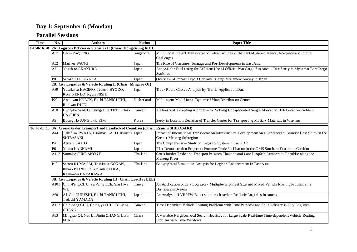# **Day 1: September 6 (Monday)**

| <b>Time</b> | No.                                                                                        | <b>Authors</b>                                                                          | <b>Nation</b> | <b>Paper Title</b>                                                                                                                       |  |  |  |
|-------------|--------------------------------------------------------------------------------------------|-----------------------------------------------------------------------------------------|---------------|------------------------------------------------------------------------------------------------------------------------------------------|--|--|--|
| 14:50-16:20 | 2A: Logistics Policies & Statistics II (Chair: Hong-Seung ROH)                             |                                                                                         |               |                                                                                                                                          |  |  |  |
|             | A57                                                                                        | Ghim Ping ONG                                                                           | Singapore     | Multimodal Freight Transportation Infrastructures in the United States: Trends, Adequacy and Future                                      |  |  |  |
|             |                                                                                            |                                                                                         |               | Challenges                                                                                                                               |  |  |  |
|             | A52                                                                                        | Mariner WANG                                                                            | Japan         | The Rise of Container Tonnage and Port Developments in East Asia                                                                         |  |  |  |
|             | A7                                                                                         | Yasuhiro AKAKURA                                                                        | Japan         | Analysis for Facilitating the Efficient Use of Official Port Cargo Statistics - Case Study in Myanmar Port Cargo<br><b>Statistics</b>    |  |  |  |
|             | P <sub>8</sub>                                                                             | Satoshi HATANAKA                                                                        | Japan         | Overview of Import/Export Container Cargo Movement Survey in Japan                                                                       |  |  |  |
|             |                                                                                            | 2B: City Logistics & Vehicle Routing II (Chair: Mingyao QI)                             |               |                                                                                                                                          |  |  |  |
|             | A89                                                                                        | Yasukatsu HAGINO, Tetsuro HYODO,<br>Kotaro ENDO, Ryuta NISHI                            | Japan         | Truck Route Choice Analysis by Traffic Application Data                                                                                  |  |  |  |
|             | P <sub>29</sub>                                                                            | Antal van KOLCK, Eiichi TANIGUCHI,<br>Ron van DUIN                                      | Netherlands   | Multi-agent Model for a Dynamic Urban Distribution Center                                                                                |  |  |  |
|             | A50                                                                                        | Hung-Jie WANG, Ching-Jung TING, Chia-<br>Ho CHEN                                        | Taiwan        | A Threshold Accepting Algorithm for Solving Uncapacitated Single Allocation Hub Location Problem                                         |  |  |  |
|             | A <sub>9</sub>                                                                             | Byung Ho JUNG, Ikki KIM                                                                 | Korea         | Study in Location Decision of Transfer Center for Transporting Military Materials in Wartime                                             |  |  |  |
|             | 16:40-18:10 3A: Cross-Border Transport and Landlocked Countries (Chair: Ryuichi SHIBASAKI) |                                                                                         |               |                                                                                                                                          |  |  |  |
|             | A44                                                                                        | Takafumi IWATA, Hironori KATO, Ryuichi Japan<br><b>SHIBASAKI</b>                        |               | Impact of International Transportation Infrastructure Development on a Landlocked Country: Case Study in the<br>Greater Mekong Subregion |  |  |  |
|             | P <sub>4</sub>                                                                             | Atsushi SAITO                                                                           | Japan         | The Comprehensive Study on Logistics System in Lao PDR                                                                                   |  |  |  |
|             | P <sub>6</sub>                                                                             | Yasuo KANNAMI                                                                           | Japan         | Pilot Demonstration Project to Promote Trade Facilitation in the GMS Southern Economic Corridor                                          |  |  |  |
|             | A117                                                                                       | Sumalee SUKDANONT                                                                       | Thailand      | Cross-border Trade and Transport between Thailand and Laos People's Democratic Republic along the<br>Mekong River                        |  |  |  |
|             | P <sub>19</sub>                                                                            | Satoru KUMAGAI, Toshitaka GOKAN,<br>Ikumo ISONO, Souknilanh KEOLA,<br>Kazunobu HAYAKAWA | Thailand      | Geographical Simulation Analysis for Logistic Enhancement in East Asia                                                                   |  |  |  |
|             |                                                                                            | 3B: City Logistics & Vehicle Routing III (Chair: Loo Hay LEE)                           |               |                                                                                                                                          |  |  |  |
|             |                                                                                            | A101 Chih-Peng CHU, Pei-Ying LEE, Shu Hwa<br>WU                                         | Taiwan        | An Application of City Logistics - Multiple-Trip Fleet Size and Mixed Vehicle Routing Problem in a<br>Distribution System                |  |  |  |
|             | A68                                                                                        | Ali Gul QURESHI, Eiichi TANIGUCHI,<br>Tadashi YAMADA                                    | Japan         | An Analysis of VRPTW Exact solutions based on Realistic Logistics Instances                                                              |  |  |  |
|             | A112                                                                                       | Chih-peng CHU, Ching-yi CHU, Tzu-ying<br>CHENG                                          | Taiwan        | Time Dependent Vehicle Routing Problems with Time Window and Split Delivery in City Logistics                                            |  |  |  |
|             | A83                                                                                        | Mingyao QI, Nan LI, Jinjin ZHANG, Lixin<br><b>MIAO</b>                                  | China         | A Variable Neighborhood Search Heuristic for Large Scale Real-time Time-dependent Vehicle Routing<br>Problem with Time Windows           |  |  |  |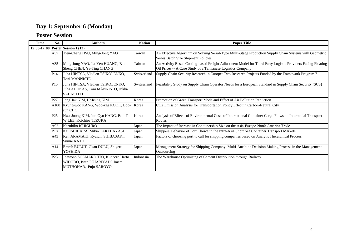# **Day 1: September 6 (Monday)**

#### **Poster Session**

| <b>Time</b> | No.             | <b>Authors</b>                                                                               | <b>Nation</b> | <b>Paper Title</b>                                                                                                                                                         |
|-------------|-----------------|----------------------------------------------------------------------------------------------|---------------|----------------------------------------------------------------------------------------------------------------------------------------------------------------------------|
|             |                 | 15:30-17:00 Poster Session I (12)                                                            |               |                                                                                                                                                                            |
|             | A37             | Tien-Cheng HSU, Ming-Jong YAO                                                                | Taiwan        | An Effective Algorithm on Solving Serial-Type Multi-Stage Production Supply Chain Systems with Geometric<br>Series Batch Size Shipment Policies                            |
|             | A35             | Ming-Jong YAO, Jia-Yen HUANG, Bai-<br>Sheng CHEN, Ya-Ting CHANG                              | Taiwan        | An Activity Based Costing-based Freight Adjustment Model for Third Party Logistic Providers Facing Floating<br>Oil Prices -- A Case Study of a Taiwanese Logistics Company |
|             | P <sub>14</sub> | Juha HINTSA, Vladlen TSIKOLENKO,<br>Toni MÄNNISTÖ                                            | Switzerland   | Supply Chain Security Research in Europe: Two Research Projects Funded by the Framework Program 7                                                                          |
|             | P <sub>15</sub> | Juha HINTSA, Vladlen TSIKOLENKO,<br>Juha AHOKAS, Toni MÄNNISTÖ, Jukka<br><b>SAHKSTEDT</b>    | Switzerland   | Feasibility Study on Supply Chain Operator Needs for a European Standard in Supply Chain Security (SCS)                                                                    |
|             | P27             | JongHak KIM, HoJeung KIM                                                                     | Korea         | Promotion of Green Transport Mode and Effect of Air Pollution Reduction                                                                                                    |
|             |                 | A100 Kyung-woo KANG, Woo-kag KOOK, Boo-<br>sun CHOI                                          | Korea         | CO2 Emission Analysis for Transportation Policy Effect in Carbon-Neutral City                                                                                              |
|             | P <sub>25</sub> | Hwa-Joong KIM, Jun-Gyu KANG, Paul T-<br>W LEE, Koichiro TEZUKA                               | Korea         | Analysis of Effects of Environmental Costs of International Container Cargo Flows on Intermodal Transport<br>Routes                                                        |
|             | A92             | Kazuhiko ISHIGURO                                                                            | Japan         | The Impact of Increase in Containership Size on the Asia-Europe-North America Trade                                                                                        |
|             | P18             | Kei ISHIHARA, Mikio TAKEBAYASHI                                                              | Japan         | Shippers' Behavior of Port Choice in the Intra-Asia Short Sea Container Transport Markets                                                                                  |
|             | A43             | Ken ARAMAKI, Ryuichi SHIBASAKI,<br>Sumie KATO                                                | Japan         | Factors of choosing port to call for shipping companies based on Analytic Hierarchical Process                                                                             |
|             | A14             | Emrah BULUT, Okan DULU, Shigeru<br><b>YOSHIDA</b>                                            | Japan         | Management Strategy for Shipping Company: Multi-Attribute Decision Making Process in the Management<br>Outsourcing                                                         |
|             | P <sub>23</sub> | Joewono SOEMARDJITO, Kuncoro Harto<br>WIDODO, Iwan PUJARIYADI, Imam<br>MUTHOHAR, Pujo SAROYO | Indonesia     | The Warehouse Optimising of Cement Distribution through Railway                                                                                                            |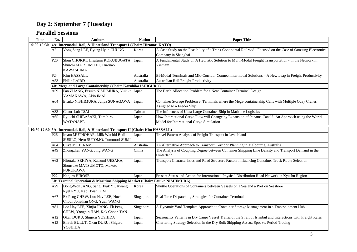| <b>Time</b> | No.                                                                         | <b>Authors</b>                                                                   | <b>Nation</b> | <b>Paper Title</b>                                                                                             |  |  |
|-------------|-----------------------------------------------------------------------------|----------------------------------------------------------------------------------|---------------|----------------------------------------------------------------------------------------------------------------|--|--|
| 9:00-10:30  | 4A: Intermodal, Rail, & Hinterland Transport I (Chair: Hironori KATO)       |                                                                                  |               |                                                                                                                |  |  |
|             | A2                                                                          | Yong Sang LEE, Byung Hyun CHUNG                                                  | Korea         | A Case Study on the Feasibility of a Trans-Continental Railroad - Focused on the Case of Samsung Electronics   |  |  |
|             |                                                                             |                                                                                  |               | Company in Shanghai -                                                                                          |  |  |
|             | P <sub>20</sub>                                                             | Shun CHOKKI, Hisafumi KOKUBUGATA,                                                | Japan         | A Fundamental Study on A Heuristic Solution to Multi-Modal Freight Transportation - in the Network in          |  |  |
|             |                                                                             | Shuichi MATSUMOTO, Hironao                                                       |               | Vietnam                                                                                                        |  |  |
|             |                                                                             | <b>KAWASHIMA</b>                                                                 |               |                                                                                                                |  |  |
|             | P <sub>24</sub>                                                             | Kim HASSALL                                                                      | Australia     | Bi-Modal Terminals and Mid-Corridor Connect Intermodal Solutions - A New Leap in Freight Productivity          |  |  |
|             | A53                                                                         | Philip LAIRD                                                                     | Australia     | Australian Rail Freight Productivity                                                                           |  |  |
|             |                                                                             | 4B: Mega and Large Containership (Chair: Kazuhiko ISHIGURO)                      |               |                                                                                                                |  |  |
|             | A59.                                                                        | Fan ZHANG, Etsuko NISHIMURA, Yukiko Japan                                        |               | The Berth Allocation Problem for a New Container Terminal Design                                               |  |  |
|             |                                                                             | YAMAKAWA, Akio IMAI                                                              |               |                                                                                                                |  |  |
|             | A64                                                                         | Etsuko NISHIMURA, Junya SUNAGAWA                                                 | Japan         | Container Storage Problem at Terminals where the Mega-containership Calls with Multiple Quay Cranes            |  |  |
|             |                                                                             |                                                                                  |               | Assigned to a Feeder Ship                                                                                      |  |  |
|             | A33                                                                         | Chaur-Luh TSAI                                                                   | Taiwan        | The Influences of Ultra-Large Container Ship in Maritime Logistics                                             |  |  |
|             | A65                                                                         | Ryuichi SHIBASAKI, Tomihiro                                                      | Japan         | How International Cargo Flow will Change by Expansion of Panama Canal? -An Approach using the World            |  |  |
|             |                                                                             | <b>WATANABE</b>                                                                  |               | Model for International Cargo Simulation                                                                       |  |  |
|             |                                                                             | 10:50-12:30 5A: Intermodal, Rail, & Hinterland Transport II (Chair: Kim HASSALL) |               |                                                                                                                |  |  |
|             | P26                                                                         | Imam MUTHOHAR, Lilik Wachid Budi                                                 | Japan         | Travel Pattern Analysis of Freight Transport in Java Island                                                    |  |  |
|             |                                                                             | SUSILO, Heru SUTOMO, Tomonori SUMI                                               |               |                                                                                                                |  |  |
|             | A84                                                                         | <b>Clive MOTTRAM</b>                                                             | Australia     | An Alternative Approach to Transport Corridor Planning in Melbourne, Australia                                 |  |  |
|             | A49                                                                         | Zhongzhen YANG, Jing WANG                                                        | China         | The Analysis of Coupling Degree between Container Shipping Line Density and Transport Demand in the            |  |  |
|             |                                                                             |                                                                                  |               | Hinterland                                                                                                     |  |  |
|             | A62                                                                         | Hirotaka SEKIYA, Katsumi UESAKA,                                                 | Japan         | Transport Characteristics and Road Structure Factors Influencing Container Truck Route Selection               |  |  |
|             |                                                                             | Shunsuke MATSUMOTO, Makoto                                                       |               |                                                                                                                |  |  |
|             |                                                                             | <b>FURUKAWA</b>                                                                  |               |                                                                                                                |  |  |
|             | P22                                                                         | Kenjiro HIROSE                                                                   | Japan         | Present Status and Action for International Physical Distribution Road Network in Kyushu Region                |  |  |
|             | 5B: Terminal Operation & Maritime Shipping Market (Chair: Etsuko NISHIMURA) |                                                                                  |               |                                                                                                                |  |  |
|             | A29                                                                         | Dong-Won JANG, Sang Hyuk YI, Kwang                                               | Korea         | Shuttle Operations of Containers between Vessels on a Sea and a Port on Seashore                               |  |  |
|             |                                                                             | Ryel RYU, Kap Hwan KIM                                                           |               |                                                                                                                |  |  |
|             | A67                                                                         | Ek Peng CHEW, Loo Hay LEE, Hock                                                  | Singapore     | Real Time Dispatching Strategies for Container Terminals                                                       |  |  |
|             |                                                                             | Choon Jonathan ONG, Yuan WANG                                                    |               |                                                                                                                |  |  |
|             | A81                                                                         | Loo Hay LEE, Xinjia JIANG, Ek Peng                                               | Singapore     | A Dynamic Yard Template Approach to Container Storage Management in a Transshipment Hub                        |  |  |
|             |                                                                             | CHEW, Yongbin HAN, Kok Choon TAN                                                 |               |                                                                                                                |  |  |
|             | A12                                                                         | Okan DURU, Shigeru YOSHIDA                                                       | Japan         | Seasonality Patterns in Dry Cargo Vessel Traffic of the Strait of Istanbul and Interactions with Freight Rates |  |  |
|             | A13                                                                         | Emrah BULUT, Okan DURU, Shigeru                                                  |               | Chartering Strategy Selection in the Dry Bulk Shipping Assets: Spot vs. Period Trading                         |  |  |
|             |                                                                             | <b>YOSHIDA</b>                                                                   | Japan         |                                                                                                                |  |  |
|             |                                                                             |                                                                                  |               |                                                                                                                |  |  |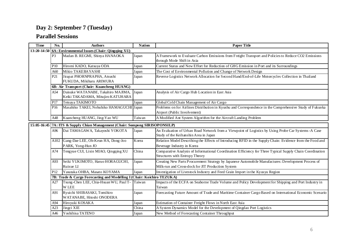| <b>Time</b>                                                                  | No.                                                                    | <b>Authors</b>                                | <b>Nation</b> | <b>Paper Title</b>                                                                                        |  |
|------------------------------------------------------------------------------|------------------------------------------------------------------------|-----------------------------------------------|---------------|-----------------------------------------------------------------------------------------------------------|--|
| $13:20 - 14:50$                                                              | 6A: Environmental Issues (Chair: Qingqing XU)                          |                                               |               |                                                                                                           |  |
|                                                                              | P <sub>3</sub>                                                         | Madan B. REGMI, Shinya HANAOKA                | Japan         | A Framework to Evaluate Carbon Emissions from Freight Transport and Policies to Reduce CO2 Emissions      |  |
|                                                                              |                                                                        |                                               |               | through Mode Shift in Asia                                                                                |  |
|                                                                              | <b>P10</b>                                                             | Hiromi KADO, Katsuya ODA                      | Japan         | Current Status and New Effort for Reduction of GHG Emission in Port and its Surroundings                  |  |
|                                                                              | A60                                                                    | Mikio TAKEBAYASHI                             | Japan         | The Cost of Environmental Pollution and Change of Network Design                                          |  |
|                                                                              | P <sub>21</sub>                                                        | Jirapat PHORNPRAPHA, Atsushi                  | Japan         | Reverse Logistics Network Allocation for Second Hand/End-of-Life Motorcycles Collection in Thailand       |  |
|                                                                              |                                                                        | FUKUDA, Mikiharu ARIMURA                      |               |                                                                                                           |  |
|                                                                              |                                                                        | 6B: Air Transport (Chair: Kuancheng HUANG)    |               |                                                                                                           |  |
|                                                                              | A54                                                                    | Daisuke WATANABE, Takahiro MAJIMA,            | Japan         | Analysis of Air Cargo Hub Location in East Asia                                                           |  |
|                                                                              |                                                                        | Keiki TAKADAMA, Mitujiro KATUHARA             |               |                                                                                                           |  |
|                                                                              | P <sub>17</sub>                                                        | Tetsuya TAKIMOTO                              | Japan         | Global Cold Chain Management of Air Cargo                                                                 |  |
|                                                                              | P <sub>16</sub>                                                        | Masahiko TAKEI, Nobuhiko HAMAGUCHI Japan      |               | Problems on for Airlines Distribution in Kyushu and Correspondence in the Comprehensive Study of Fukuoka  |  |
|                                                                              |                                                                        |                                               |               | Airport (Public Involvement)                                                                              |  |
|                                                                              | A48                                                                    | Kuancheng HUANG, Jing-Yao WU                  | Taiwan        | A Modified Ant System Algorithm for the Aircraft Landing Problem                                          |  |
| 15:05-16:45 7A: ITS & Supply Chian Management (Chair: Sompong SIRISOPONSILP) |                                                                        |                                               |               |                                                                                                           |  |
|                                                                              | A96                                                                    | Dai TAMAGAWA, Takayoshi YOKOTA                | Japan         | An Evaluation of Urban Road Network from a Viewpoint of Logistics by Using Probe Car Systems - A Case     |  |
|                                                                              |                                                                        |                                               |               | Study of the Keihanshin Area in Japan                                                                     |  |
|                                                                              | A102                                                                   | Gang-Dae LEE, Oh-Keun HA, Dong-Joo            | Korea         | Relation Model Describing the Effects of Introducing RFID in the Supply Chain: Evidence from the Food and |  |
|                                                                              |                                                                        | PARK, Yong-Hun JO                             |               | Beverage Industry in Korea                                                                                |  |
|                                                                              | A74                                                                    | Tengyue CUI, Lixin MIAO, Qingqing XU          | China         | Comparative Analysis of Informational Coordination Efficiency for Three Typical Supply Chain Coordination |  |
|                                                                              |                                                                        |                                               |               | Structures with Entropy Theory                                                                            |  |
|                                                                              | A93                                                                    | Seiki YUKIMOTO, Haruo HORAGUCHI,              | Japan         | Creating New Parts Procurement Strategy by Japanese Automobile Manufactures: Development Process of       |  |
|                                                                              |                                                                        | Ruixue LI                                     |               | Milk-run and Cross-dock for JIT Production System                                                         |  |
|                                                                              | P <sub>12</sub>                                                        | Yasutaka OHBA, Masato KOYAMA                  | Japan         | Investigation of Livestock Industry and Feed Grain Import in the Kyusyu Region                            |  |
|                                                                              | 7B: Trade & Cargo Forecasting and Modelling I (Chair: Koichiro TEZUKA) |                                               |               |                                                                                                           |  |
|                                                                              | A27                                                                    | Tsung-Chen LEE, Chia-Hsuan WU, Paul T- Taiwan |               | Impacts of the ECFA on Seaborne Trade Volume and Policy Development for Shipping and Port Industry in     |  |
|                                                                              |                                                                        | <b>W LEE</b>                                  |               | Taiwan                                                                                                    |  |
|                                                                              | A91                                                                    | Ryuichi SHIBASAKI, Tomihiro                   | Japan         | Forecasting Future Amount of Trade and Maritime Container Cargo Based on International Economic Scenario  |  |
|                                                                              |                                                                        | WATANABE, Hitoshi ONODERA                     |               |                                                                                                           |  |
|                                                                              | A94                                                                    | Hiroyuki KOSAKA                               | Japan         | Estimation of Container Freight Flows in North East Asia                                                  |  |
|                                                                              | A23                                                                    | Jingci XIE                                    | China         | A System Dynamics Model for the Development of Qingdao Port Logistics                                     |  |
|                                                                              | A46                                                                    | Yoshihisa TATENO                              | Japan         | New Method of Forecasting Container Throughput                                                            |  |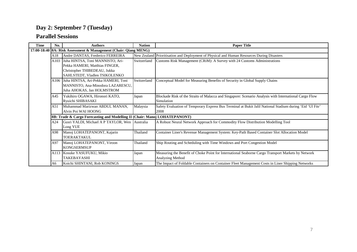| <b>Time</b> | No.                                                              | <b>Authors</b>                                                             | <b>Nation</b> | <b>Paper Title</b>                                                                                        |  |  |
|-------------|------------------------------------------------------------------|----------------------------------------------------------------------------|---------------|-----------------------------------------------------------------------------------------------------------|--|--|
|             | 17:00-18:40 8A: Risk Assessment & Management (Chair: Qiang MENG) |                                                                            |               |                                                                                                           |  |  |
|             | A18                                                              | Andre DANTAS, Frederico FERREIRA                                           | New Zealand   | Prioritisation and Deployment of Physical and Human Resources During Disasters                            |  |  |
|             | A103                                                             | Juha HINTSA, Toni MANNISTO, Ari-                                           | Switzerland   | Customs Risk Management (CRiM): A Survey with 24 Customs Administrations                                  |  |  |
|             |                                                                  | Pekka HAMERI, Matthias FINGER,                                             |               |                                                                                                           |  |  |
|             |                                                                  | Christopher THIBEDEAU, Jukka                                               |               |                                                                                                           |  |  |
|             |                                                                  | SAHLSTEDT, Vladlen TSIKOLENKO                                              |               |                                                                                                           |  |  |
|             | A106                                                             | Juha HINTSA, Ari-Pekka HAMERI, Toni                                        | Switzerland   | Conceptual Model for Measuring Benefits of Security in Global Supply Chains                               |  |  |
|             |                                                                  | MANNISTO, Ana-Minodora LAZARESCU,                                          |               |                                                                                                           |  |  |
|             |                                                                  | Juha AHOKAS, Jan HOLMSTROM                                                 |               |                                                                                                           |  |  |
|             | A45                                                              | Yukihiro OGAWA, Hironori KATO,                                             | Japan         | Blockade Risk of the Straits of Malacca and Singapore: Scenario Analysis with International Cargo Flow    |  |  |
|             |                                                                  | Ryuichi SHIBASAKI                                                          |               | Simulation                                                                                                |  |  |
|             | A51                                                              | Muhammad Marizwan ABDUL MANAN,                                             | Malaysia      | Safety Evaluation of Temporary Express Bus Terminal at Bukit Jalil National Stadium during 'Eid 'Ul Fitr' |  |  |
|             |                                                                  | Alvin Poi WAI HOONG                                                        |               | 2008                                                                                                      |  |  |
|             |                                                                  | 8B: Trade & Cargo Forecasting and Modelling II (Chair: Manoj LOHATEPANONT) |               |                                                                                                           |  |  |
|             | A24                                                              | Gusri YALDI, Michael A P TAYLOR, Wen Australia                             |               | A Robust Neural Network Approach for Commodity Flow Distribution Modelling Tool                           |  |  |
|             |                                                                  | Long YUE                                                                   |               |                                                                                                           |  |  |
|             | A98                                                              | Manoj LOHATEPANONT, Kajarin                                                | Thailand      | Container Liner's Revenue Management System: Key-Path Based Container Slot Allocation Model               |  |  |
|             |                                                                  | <b>TOERAKTAKUL</b>                                                         |               |                                                                                                           |  |  |
|             | A97                                                              | Manoj LOHATEPANONT, Viroon                                                 | Thailand      | Ship Routing and Scheduling with Time Windows and Port Congestion Model                                   |  |  |
|             |                                                                  | <b>KONGSERMSUP</b>                                                         |               |                                                                                                           |  |  |
|             | A113                                                             | Kosuke YASUFUKU, Mikio                                                     | Japan         | Measuring the Benefit of Choke Point for International Seaborne Cargo Transport Markets by Network        |  |  |
|             |                                                                  | <b>TAKEBAYASHI</b>                                                         |               | Analyzing Method                                                                                          |  |  |
|             | A6                                                               | Koichi SHINTANI, Rob KONINGS                                               | Japan         | The Impact of Foldable Containers on Container Fleet Management Costs in Liner Shipping Networks          |  |  |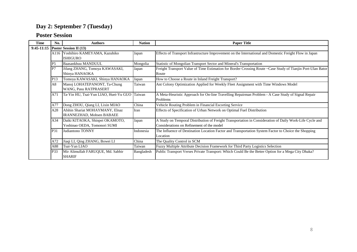#### **Poster Session**

| <b>Time</b>  | No.             | <b>Authors</b>                                                  | <b>Nation</b> | <b>Paper Title</b>                                                                                                                                    |  |  |  |
|--------------|-----------------|-----------------------------------------------------------------|---------------|-------------------------------------------------------------------------------------------------------------------------------------------------------|--|--|--|
| $9:45-11:15$ |                 | <b>Poster Session II (13)</b>                                   |               |                                                                                                                                                       |  |  |  |
|              |                 | A116 Yoshihiro KAMEYAMA, Kazuhiko<br><b>ISHIGURO</b>            | Japan         | Effects of Transport Infrastructure Improvement on the International and Domestic Freight Flow in Japan                                               |  |  |  |
|              | P5              | Baasankhuu MANDUUL                                              | Mongolia      | Statistic of Mongolian Transport Sector and Mineral's Transportation                                                                                  |  |  |  |
|              | P7              | Jifang ZHANG, Tomoya KAWASAKI,<br>Shinya HANAOKA                | Japan         | Freight Transport Value of Time Estimation for Border Crossing Route ~Case Study of Tianjin Port-Ulan Bator<br>Route                                  |  |  |  |
|              | P <sub>13</sub> | Tomoya KAWASAKI, Shinya HANAOKA                                 | Japan         | How to Choose a Route in Inland Freight Transport?                                                                                                    |  |  |  |
|              | A8              | Manoj LOHATEPANONT, Ta-Chung<br>WANG, Pasu RATPRASERT           | Taiwan        | Ant Colony Optimization Applied for Weekly Fleet Assignment with Time Windows Model                                                                   |  |  |  |
|              | A71             | Ta-Yin HU, Tsai-Yun LIAO, Huei-Yu GUO Taiwan                    |               | A Meta-Heuristic Approach for On-line Travelling Repairman Problem - A Case Study of Signal Repair<br>Problems                                        |  |  |  |
|              | A77             | Dong ZHOU, Qiang LI, Lixin MIAO                                 | China         | Vehicle Routing Problem in Financial Escorting Service                                                                                                |  |  |  |
|              | A28             | Afshin Shariat MOHAYMANY, Elnaz<br>IRANNEZHAD, Mohsen BABAEE    | Iran          | Effects of Specification of Urban Network on Optimal Fuel Distribution                                                                                |  |  |  |
|              | A34             | Daiki KITAOKA, Shinpei OKAMOTO,<br>Yoshinao OEDA, Tomonori SUMI | Japan         | A Study on Temporal Distribution of Freight Transportation in Consideration of Daily Work-Life Cycle and<br>Considerations on Refinement of the model |  |  |  |
|              | P31             | Judiantono TONNY                                                | Indonesia     | The Influence of Destination Location Factor and Transportation System Factor to Choice the Shopping<br>Location                                      |  |  |  |
|              | A72             | Jiaqi LI, Qing ZHANG, Bowei LI                                  | China         | The Quality Control in SCM                                                                                                                            |  |  |  |
|              | A88             | Tsai-Yun LIAO                                                   | Taiwan        | Fuzzy Multiple Attribute Decision Framework for Third Party Logistics Selection                                                                       |  |  |  |
|              | P33             | Mir Alimullah FARUQUE, Md. Sabbir<br><b>SHARIF</b>              | Bangladesh    | Public Transport Verses Private Transport: Which Could Be the Better Option for a Mega City Dhaka?                                                    |  |  |  |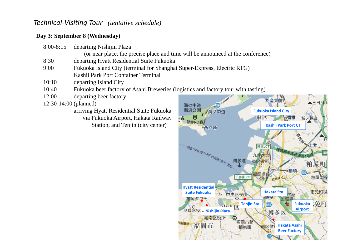## *Technical‐Visiting Tour (tentative schedule)*

### **Day 3: September 8 (Wednesday)**

| $8:00 - 8:15$ | departing Nishijin Plaza |
|---------------|--------------------------|
|---------------|--------------------------|

(or near place, the precise place and time will be announced at the conference)

- 8:30 departing Hyatt Residential Suite Fukuoka
- 9:00Fukuoka Island City (terminal for Shanghai Super-Express, Electric RTG) Kashii Park Port Container Terminal
- 10:10 departing Island City
- 10:40 Fukuoka beer factory of Asahi Breweries (logistics and factory tour with tasting)
- 12:00departing beer factory

12:30-14:00 (planned)

arriving Hyatt Residential Suite Fukuoka via Fukuoka Airport, Hakata Railway Station, and Tenjin (city center)

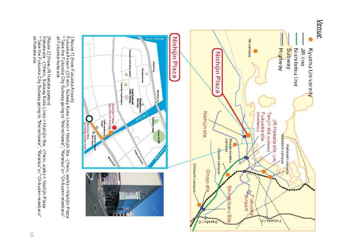

[ Route 1] (from Fukuoka Airport)<br>Fukuoka Airport -(20 min, Subway Kuko Line)-> Nishijin Sta. -(7min, walk)-> Nishijin Plaza<br>at Fukuoka-kuko sta.<br>at Fukuoka-kuko sta.

[Route 2] (from JR Hakata station)<br>Hakata sta -(15min, Subway Kuko Line)-> Nishijin Sta . -(7min, walk)-> Nishijin Plaza<br>\* Take the Fukuoka City Subway going to "Meinohama", "Karatsu" or "Chikuzen-maebaru"<br>at Hakata sta . at Hakata sta.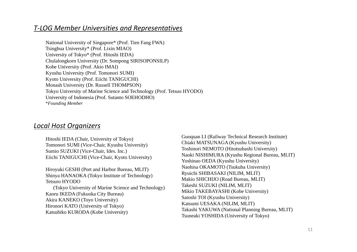## *T‐LOG Member Universities and Representatives*

National University of Singapore\* (Prof. Tien Fang FWA) Tsinghua University\* (Prof. Lixin MIAO) University of Tokyo\* (Prof. Hitoshi IEDA) Chulalongkorn University (Dr. Sompong SIRISOPONSILP) Kobe University (Prof. Akio IMAI) Kyushu University (Prof. Tomonori SUMI) Kyoto University (Prof. Eiichi TANIGUCHI) Monash University (Dr. Russell THOMPSON) Tokyo University of Marine Science and Technology (Prof. Tetsuo HYODO) University of Indonesia (Prof. Sutanto SOEHODHO) \**Founding Member* 

### *Local Host Organizers*

Hitoshi IEDA (Chair, University of Tokyo) Tomonori SUMI (Vice-Chair, Kyushu University) Sumio SUZUKI (Vice-Chair, Ides. Inc.) Eiichi TANIGUCHI (Vice-Chair, Kyoto University)

Hiroyuki GESHI (Port and Harbor Bureau, MLIT) Shinya HANAOKA (Tokyo Institute of Technology) Tetsuro HYODO(Tokyo University of Marine Science and Technology) Kaoru IKEDA (Fukuoka City Bureau) Akira KANEKO (Toyo University) Hironori KATO (University of Tokyo)

Katsuhiko KURODA (Kobe University)

Guoquan LI (Railway Technical Research Institute) Chiaki MATSUNAGA (Kyushu University) Toshinori NEMOTO (Hitotsubashi University) Naoki NISHIMURA (Kyushu Regional Bureau, MLIT) Yoshinao OEDA (Kyushu University) Naohisa OKAMOTO (Tsukuba University) Ryuichi SHIBASAKI (NILIM, MLIT) Makio SHICHIJO (Road Bureau, MLIT) Takeshi SUZUKI (NILIM, MLIT) Mikio TAKEBAYASHI (Kobe University) Satoshi TOI (Kyushu University) Katsumi UESAKA (NILIM, MLIT) o KURODA (Kobe University) Takashi YAKUWA (National Planning Bureau, MLIT) Tsuneaki YOSHIDA (University of Tokyo)